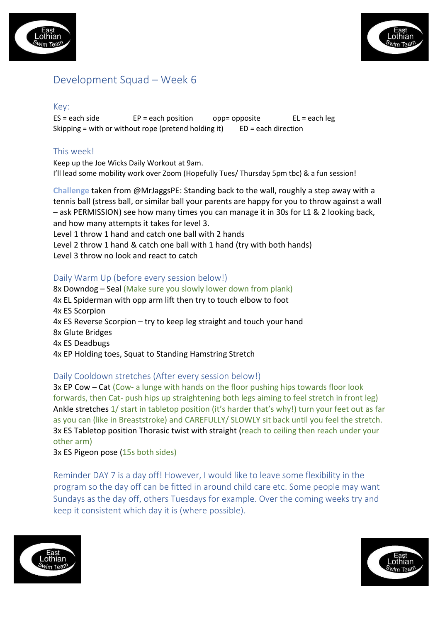



# Development Squad – Week 6

### Key:

 $ES = each side$  EP = each position opp= opposite EL = each leg Skipping = with or without rope (pretend holding it)  $ED = each direction$ 

## This week!

Keep up the Joe Wicks Daily Workout at 9am. I'll lead some mobility work over Zoom (Hopefully Tues/ Thursday 5pm tbc) & a fun session!

**Challenge** taken from @MrJaggsPE: Standing back to the wall, roughly a step away with a tennis ball (stress ball, or similar ball your parents are happy for you to throw against a wall – ask PERMISSION) see how many times you can manage it in 30s for L1 & 2 looking back, and how many attempts it takes for level 3. Level 1 throw 1 hand and catch one ball with 2 hands

Level 2 throw 1 hand & catch one ball with 1 hand (try with both hands)

Level 3 throw no look and react to catch

### Daily Warm Up (before every session below!)

8x Downdog – Seal (Make sure you slowly lower down from plank) 4x EL Spiderman with opp arm lift then try to touch elbow to foot 4x ES Scorpion 4x ES Reverse Scorpion – try to keep leg straight and touch your hand 8x Glute Bridges 4x ES Deadbugs 4x EP Holding toes, Squat to Standing Hamstring Stretch

### Daily Cooldown stretches (After every session below!)

3x EP Cow – Cat (Cow- a lunge with hands on the floor pushing hips towards floor look forwards, then Cat- push hips up straightening both legs aiming to feel stretch in front leg) Ankle stretches 1/ start in tabletop position (it's harder that's why!) turn your feet out as far as you can (like in Breaststroke) and CAREFULLY/ SLOWLY sit back until you feel the stretch. 3x ES Tabletop position Thorasic twist with straight (reach to ceiling then reach under your other arm)

3x ES Pigeon pose (15s both sides)

Reminder DAY 7 is a day off! However, I would like to leave some flexibility in the program so the day off can be fitted in around child care etc. Some people may want Sundays as the day off, others Tuesdays for example. Over the coming weeks try and keep it consistent which day it is (where possible).



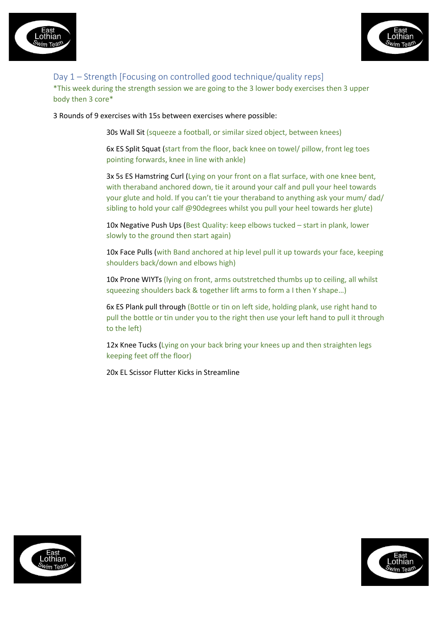



## Day 1 – Strength [Focusing on controlled good technique/quality reps]

\*This week during the strength session we are going to the 3 lower body exercises then 3 upper body then 3 core\*

3 Rounds of 9 exercises with 15s between exercises where possible:

30s Wall Sit (squeeze a football, or similar sized object, between knees)

6x ES Split Squat (start from the floor, back knee on towel/ pillow, front leg toes pointing forwards, knee in line with ankle)

3x 5s ES Hamstring Curl (Lying on your front on a flat surface, with one knee bent, with theraband anchored down, tie it around your calf and pull your heel towards your glute and hold. If you can't tie your theraband to anything ask your mum/ dad/ sibling to hold your calf @90degrees whilst you pull your heel towards her glute)

10x Negative Push Ups (Best Quality: keep elbows tucked - start in plank, lower slowly to the ground then start again)

10x Face Pulls (with Band anchored at hip level pull it up towards your face, keeping shoulders back/down and elbows high)

10x Prone WIYTs (lying on front, arms outstretched thumbs up to ceiling, all whilst squeezing shoulders back & together lift arms to form a I then Y shape…)

6x ES Plank pull through (Bottle or tin on left side, holding plank, use right hand to pull the bottle or tin under you to the right then use your left hand to pull it through to the left)

12x Knee Tucks (Lying on your back bring your knees up and then straighten legs keeping feet off the floor)

20x EL Scissor Flutter Kicks in Streamline



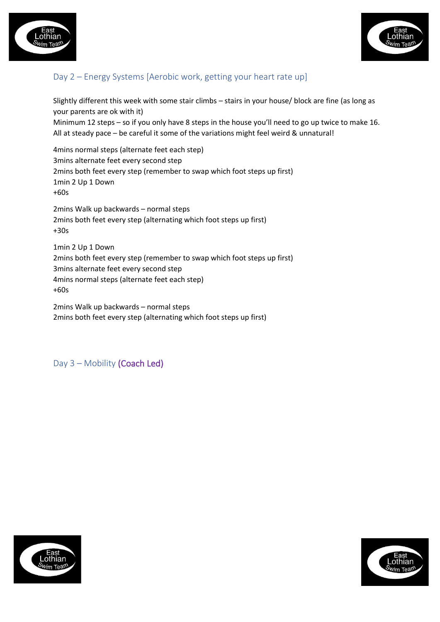



## Day 2 – Energy Systems [Aerobic work, getting your heart rate up]

Slightly different this week with some stair climbs – stairs in your house/ block are fine (as long as your parents are ok with it) Minimum 12 steps – so if you only have 8 steps in the house you'll need to go up twice to make 16. All at steady pace – be careful it some of the variations might feel weird & unnatural!

4mins normal steps (alternate feet each step) 3mins alternate feet every second step 2mins both feet every step (remember to swap which foot steps up first) 1min 2 Up 1 Down +60s

2mins Walk up backwards – normal steps 2mins both feet every step (alternating which foot steps up first) +30s

1min 2 Up 1 Down 2mins both feet every step (remember to swap which foot steps up first) 3mins alternate feet every second step 4mins normal steps (alternate feet each step) +60s

2mins Walk up backwards – normal steps 2mins both feet every step (alternating which foot steps up first)

Day 3 – Mobility (Coach Led)